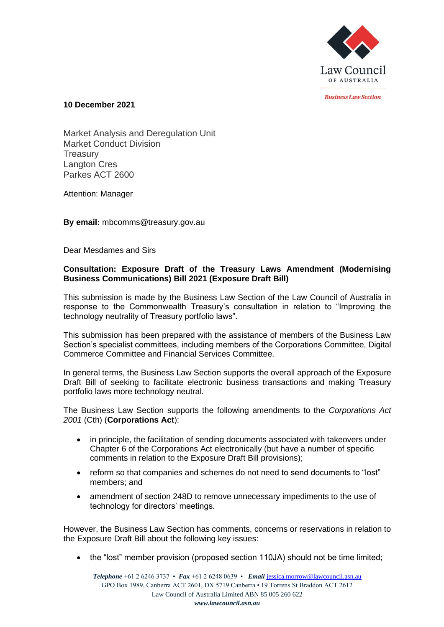

*<u>Rusiness Law Section</u>* 

**10 December 2021**

Market Analysis and Deregulation Unit Market Conduct Division **Treasury** Langton Cres Parkes ACT 2600

Attention: Manager

**By email:** mbcomms@treasury.gov.au

Dear Mesdames and Sirs

## **Consultation: Exposure Draft of the Treasury Laws Amendment (Modernising Business Communications) Bill 2021 (Exposure Draft Bill)**

This submission is made by the Business Law Section of the Law Council of Australia in response to the Commonwealth Treasury's consultation in relation to "Improving the technology neutrality of Treasury portfolio laws".

This submission has been prepared with the assistance of members of the Business Law Section's specialist committees, including members of the Corporations Committee, Digital Commerce Committee and Financial Services Committee.

In general terms, the Business Law Section supports the overall approach of the Exposure Draft Bill of seeking to facilitate electronic business transactions and making Treasury portfolio laws more technology neutral.

The Business Law Section supports the following amendments to the *Corporations Act 2001* (Cth) (**Corporations Act**):

- in principle, the facilitation of sending documents associated with takeovers under Chapter 6 of the Corporations Act electronically (but have a number of specific comments in relation to the Exposure Draft Bill provisions);
- reform so that companies and schemes do not need to send documents to "lost" members; and
- amendment of section 248D to remove unnecessary impediments to the use of technology for directors' meetings.

However, the Business Law Section has comments, concerns or reservations in relation to the Exposure Draft Bill about the following key issues:

• the "lost" member provision (proposed section 110JA) should not be time limited;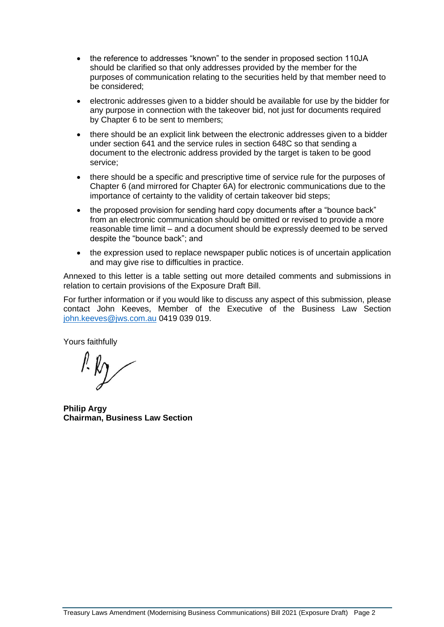- the reference to addresses "known" to the sender in proposed section 110JA should be clarified so that only addresses provided by the member for the purposes of communication relating to the securities held by that member need to be considered;
- electronic addresses given to a bidder should be available for use by the bidder for any purpose in connection with the takeover bid, not just for documents required by Chapter 6 to be sent to members;
- there should be an explicit link between the electronic addresses given to a bidder under section 641 and the service rules in section 648C so that sending a document to the electronic address provided by the target is taken to be good service;
- there should be a specific and prescriptive time of service rule for the purposes of Chapter 6 (and mirrored for Chapter 6A) for electronic communications due to the importance of certainty to the validity of certain takeover bid steps;
- the proposed provision for sending hard copy documents after a "bounce back" from an electronic communication should be omitted or revised to provide a more reasonable time limit – and a document should be expressly deemed to be served despite the "bounce back"; and
- the expression used to replace newspaper public notices is of uncertain application and may give rise to difficulties in practice.

Annexed to this letter is a table setting out more detailed comments and submissions in relation to certain provisions of the Exposure Draft Bill.

For further information or if you would like to discuss any aspect of this submission, please contact John Keeves, Member of the Executive of the Business Law Section [john.keeves@jws.com.au](mailto:john.keeves@jws.com.au) 0419 039 019.

Yours faithfully

**Philip Argy Chairman, Business Law Section**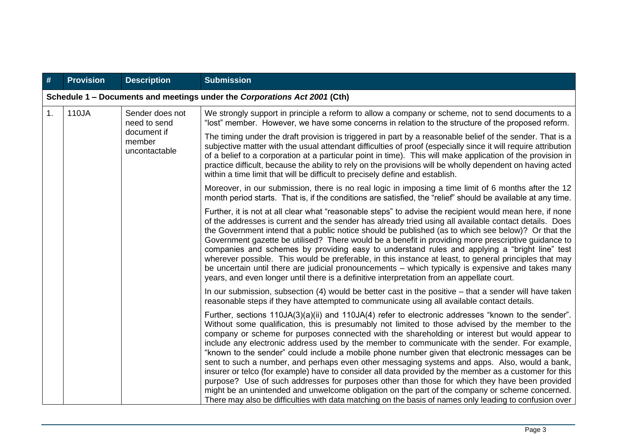| #  | <b>Provision</b>                                                          | <b>Description</b>                                                                                                                                                                                                                                                                                                                                                                                                                                                                                                                                                                                                                                                                                                                                                                                                                              | <b>Submission</b>                                                                                                                                                                                                                                                                                                                                                                                                                                                                                                                                                                                                                                                                                                                                                                                                                                                                                                                                                                                                                            |  |
|----|---------------------------------------------------------------------------|-------------------------------------------------------------------------------------------------------------------------------------------------------------------------------------------------------------------------------------------------------------------------------------------------------------------------------------------------------------------------------------------------------------------------------------------------------------------------------------------------------------------------------------------------------------------------------------------------------------------------------------------------------------------------------------------------------------------------------------------------------------------------------------------------------------------------------------------------|----------------------------------------------------------------------------------------------------------------------------------------------------------------------------------------------------------------------------------------------------------------------------------------------------------------------------------------------------------------------------------------------------------------------------------------------------------------------------------------------------------------------------------------------------------------------------------------------------------------------------------------------------------------------------------------------------------------------------------------------------------------------------------------------------------------------------------------------------------------------------------------------------------------------------------------------------------------------------------------------------------------------------------------------|--|
|    | Schedule 1 – Documents and meetings under the Corporations Act 2001 (Cth) |                                                                                                                                                                                                                                                                                                                                                                                                                                                                                                                                                                                                                                                                                                                                                                                                                                                 |                                                                                                                                                                                                                                                                                                                                                                                                                                                                                                                                                                                                                                                                                                                                                                                                                                                                                                                                                                                                                                              |  |
| 1. | 110JA                                                                     | Sender does not<br>need to send<br>document if<br>member<br>uncontactable                                                                                                                                                                                                                                                                                                                                                                                                                                                                                                                                                                                                                                                                                                                                                                       | We strongly support in principle a reform to allow a company or scheme, not to send documents to a<br>"lost" member. However, we have some concerns in relation to the structure of the proposed reform.                                                                                                                                                                                                                                                                                                                                                                                                                                                                                                                                                                                                                                                                                                                                                                                                                                     |  |
|    |                                                                           |                                                                                                                                                                                                                                                                                                                                                                                                                                                                                                                                                                                                                                                                                                                                                                                                                                                 | The timing under the draft provision is triggered in part by a reasonable belief of the sender. That is a<br>subjective matter with the usual attendant difficulties of proof (especially since it will require attribution<br>of a belief to a corporation at a particular point in time). This will make application of the provision in<br>practice difficult, because the ability to rely on the provisions will be wholly dependent on having acted<br>within a time limit that will be difficult to precisely define and establish.                                                                                                                                                                                                                                                                                                                                                                                                                                                                                                    |  |
|    |                                                                           | Moreover, in our submission, there is no real logic in imposing a time limit of 6 months after the 12<br>month period starts. That is, if the conditions are satisfied, the "relief" should be available at any time.                                                                                                                                                                                                                                                                                                                                                                                                                                                                                                                                                                                                                           |                                                                                                                                                                                                                                                                                                                                                                                                                                                                                                                                                                                                                                                                                                                                                                                                                                                                                                                                                                                                                                              |  |
|    |                                                                           | Further, it is not at all clear what "reasonable steps" to advise the recipient would mean here, if none<br>of the addresses is current and the sender has already tried using all available contact details. Does<br>the Government intend that a public notice should be published (as to which see below)? Or that the<br>Government gazette be utilised? There would be a benefit in providing more prescriptive guidance to<br>companies and schemes by providing easy to understand rules and applying a "bright line" test<br>wherever possible. This would be preferable, in this instance at least, to general principles that may<br>be uncertain until there are judicial pronouncements – which typically is expensive and takes many<br>years, and even longer until there is a definitive interpretation from an appellate court. |                                                                                                                                                                                                                                                                                                                                                                                                                                                                                                                                                                                                                                                                                                                                                                                                                                                                                                                                                                                                                                              |  |
|    |                                                                           |                                                                                                                                                                                                                                                                                                                                                                                                                                                                                                                                                                                                                                                                                                                                                                                                                                                 | In our submission, subsection $(4)$ would be better cast in the positive $-$ that a sender will have taken<br>reasonable steps if they have attempted to communicate using all available contact details.                                                                                                                                                                                                                                                                                                                                                                                                                                                                                                                                                                                                                                                                                                                                                                                                                                    |  |
|    |                                                                           |                                                                                                                                                                                                                                                                                                                                                                                                                                                                                                                                                                                                                                                                                                                                                                                                                                                 | Further, sections $110JA(3)(a)(ii)$ and $110JA(4)$ refer to electronic addresses "known to the sender".<br>Without some qualification, this is presumably not limited to those advised by the member to the<br>company or scheme for purposes connected with the shareholding or interest but would appear to<br>include any electronic address used by the member to communicate with the sender. For example,<br>"known to the sender" could include a mobile phone number given that electronic messages can be<br>sent to such a number, and perhaps even other messaging systems and apps. Also, would a bank,<br>insurer or telco (for example) have to consider all data provided by the member as a customer for this<br>purpose? Use of such addresses for purposes other than those for which they have been provided<br>might be an unintended and unwelcome obligation on the part of the company or scheme concerned.<br>There may also be difficulties with data matching on the basis of names only leading to confusion over |  |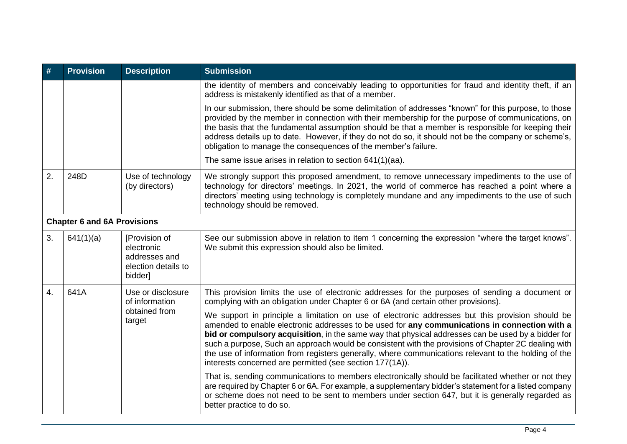| #                | <b>Provision</b>                   | <b>Description</b>                                                             | <b>Submission</b>                                                                                                                                                                                                                                                                                                                                                                                                                                                                                                                                                                  |
|------------------|------------------------------------|--------------------------------------------------------------------------------|------------------------------------------------------------------------------------------------------------------------------------------------------------------------------------------------------------------------------------------------------------------------------------------------------------------------------------------------------------------------------------------------------------------------------------------------------------------------------------------------------------------------------------------------------------------------------------|
|                  |                                    |                                                                                | the identity of members and conceivably leading to opportunities for fraud and identity theft, if an<br>address is mistakenly identified as that of a member.                                                                                                                                                                                                                                                                                                                                                                                                                      |
|                  |                                    |                                                                                | In our submission, there should be some delimitation of addresses "known" for this purpose, to those<br>provided by the member in connection with their membership for the purpose of communications, on<br>the basis that the fundamental assumption should be that a member is responsible for keeping their<br>address details up to date. However, if they do not do so, it should not be the company or scheme's,<br>obligation to manage the consequences of the member's failure.                                                                                           |
|                  |                                    |                                                                                | The same issue arises in relation to section 641(1)(aa).                                                                                                                                                                                                                                                                                                                                                                                                                                                                                                                           |
| 2.               | 248D                               | Use of technology<br>(by directors)                                            | We strongly support this proposed amendment, to remove unnecessary impediments to the use of<br>technology for directors' meetings. In 2021, the world of commerce has reached a point where a<br>directors' meeting using technology is completely mundane and any impediments to the use of such<br>technology should be removed.                                                                                                                                                                                                                                                |
|                  | <b>Chapter 6 and 6A Provisions</b> |                                                                                |                                                                                                                                                                                                                                                                                                                                                                                                                                                                                                                                                                                    |
| 3.               | 641(1)(a)                          | [Provision of<br>electronic<br>addresses and<br>election details to<br>bidder] | See our submission above in relation to item 1 concerning the expression "where the target knows".<br>We submit this expression should also be limited.                                                                                                                                                                                                                                                                                                                                                                                                                            |
| $\overline{4}$ . | 641A                               | Use or disclosure<br>of information<br>obtained from<br>target                 | This provision limits the use of electronic addresses for the purposes of sending a document or<br>complying with an obligation under Chapter 6 or 6A (and certain other provisions).                                                                                                                                                                                                                                                                                                                                                                                              |
|                  |                                    |                                                                                | We support in principle a limitation on use of electronic addresses but this provision should be<br>amended to enable electronic addresses to be used for any communications in connection with a<br>bid or compulsory acquisition, in the same way that physical addresses can be used by a bidder for<br>such a purpose, Such an approach would be consistent with the provisions of Chapter 2C dealing with<br>the use of information from registers generally, where communications relevant to the holding of the<br>interests concerned are permitted (see section 177(1A)). |
|                  |                                    |                                                                                | That is, sending communications to members electronically should be facilitated whether or not they<br>are required by Chapter 6 or 6A. For example, a supplementary bidder's statement for a listed company<br>or scheme does not need to be sent to members under section 647, but it is generally regarded as<br>better practice to do so.                                                                                                                                                                                                                                      |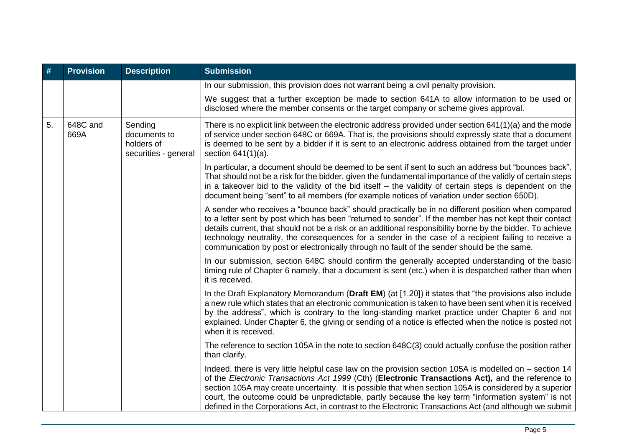| #  | <b>Provision</b> | <b>Description</b>                                            | <b>Submission</b>                                                                                                                                                                                                                                                                                                                                                                                                                                                                                                                       |
|----|------------------|---------------------------------------------------------------|-----------------------------------------------------------------------------------------------------------------------------------------------------------------------------------------------------------------------------------------------------------------------------------------------------------------------------------------------------------------------------------------------------------------------------------------------------------------------------------------------------------------------------------------|
|    |                  |                                                               | In our submission, this provision does not warrant being a civil penalty provision.                                                                                                                                                                                                                                                                                                                                                                                                                                                     |
|    |                  |                                                               | We suggest that a further exception be made to section 641A to allow information to be used or<br>disclosed where the member consents or the target company or scheme gives approval.                                                                                                                                                                                                                                                                                                                                                   |
| 5. | 648C and<br>669A | Sending<br>documents to<br>holders of<br>securities - general | There is no explicit link between the electronic address provided under section 641(1)(a) and the mode<br>of service under section 648C or 669A. That is, the provisions should expressly state that a document<br>is deemed to be sent by a bidder if it is sent to an electronic address obtained from the target under<br>section $641(1)(a)$ .                                                                                                                                                                                      |
|    |                  |                                                               | In particular, a document should be deemed to be sent if sent to such an address but "bounces back".<br>That should not be a risk for the bidder, given the fundamental importance of the validly of certain steps<br>in a takeover bid to the validity of the bid itself – the validity of certain steps is dependent on the<br>document being "sent" to all members (for example notices of variation under section 650D).                                                                                                            |
|    |                  |                                                               | A sender who receives a "bounce back" should practically be in no different position when compared<br>to a letter sent by post which has been "returned to sender". If the member has not kept their contact<br>details current, that should not be a risk or an additional responsibility borne by the bidder. To achieve<br>technology neutrality, the consequences for a sender in the case of a recipient failing to receive a<br>communication by post or electronically through no fault of the sender should be the same.        |
|    |                  |                                                               | In our submission, section 648C should confirm the generally accepted understanding of the basic<br>timing rule of Chapter 6 namely, that a document is sent (etc.) when it is despatched rather than when<br>it is received.                                                                                                                                                                                                                                                                                                           |
|    |                  |                                                               | In the Draft Explanatory Memorandum (Draft EM) (at [1.20]) it states that "the provisions also include<br>a new rule which states that an electronic communication is taken to have been sent when it is received<br>by the address", which is contrary to the long-standing market practice under Chapter 6 and not<br>explained. Under Chapter 6, the giving or sending of a notice is effected when the notice is posted not<br>when it is received.                                                                                 |
|    |                  |                                                               | The reference to section 105A in the note to section 648C(3) could actually confuse the position rather<br>than clarify.                                                                                                                                                                                                                                                                                                                                                                                                                |
|    |                  |                                                               | Indeed, there is very little helpful case law on the provision section 105A is modelled on – section 14<br>of the Electronic Transactions Act 1999 (Cth) (Electronic Transactions Act), and the reference to<br>section 105A may create uncertainty. It is possible that when section 105A is considered by a superior<br>court, the outcome could be unpredictable, partly because the key term "information system" is not<br>defined in the Corporations Act, in contrast to the Electronic Transactions Act (and although we submit |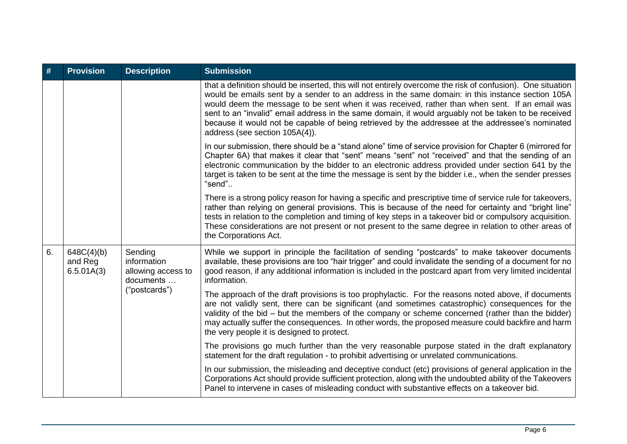| #  | <b>Provision</b>                    | <b>Description</b>                                                         | <b>Submission</b>                                                                                                                                                                                                                                                                                                                                                                                                                                                                                                                                               |
|----|-------------------------------------|----------------------------------------------------------------------------|-----------------------------------------------------------------------------------------------------------------------------------------------------------------------------------------------------------------------------------------------------------------------------------------------------------------------------------------------------------------------------------------------------------------------------------------------------------------------------------------------------------------------------------------------------------------|
|    |                                     |                                                                            | that a definition should be inserted, this will not entirely overcome the risk of confusion). One situation<br>would be emails sent by a sender to an address in the same domain: in this instance section 105A<br>would deem the message to be sent when it was received, rather than when sent. If an email was<br>sent to an "invalid" email address in the same domain, it would arguably not be taken to be received<br>because it would not be capable of being retrieved by the addressee at the addressee's nominated<br>address (see section 105A(4)). |
|    |                                     |                                                                            | In our submission, there should be a "stand alone" time of service provision for Chapter 6 (mirrored for<br>Chapter 6A) that makes it clear that "sent" means "sent" not "received" and that the sending of an<br>electronic communication by the bidder to an electronic address provided under section 641 by the<br>target is taken to be sent at the time the message is sent by the bidder i.e., when the sender presses<br>"send"                                                                                                                         |
|    |                                     |                                                                            | There is a strong policy reason for having a specific and prescriptive time of service rule for takeovers,<br>rather than relying on general provisions. This is because of the need for certainty and "bright line"<br>tests in relation to the completion and timing of key steps in a takeover bid or compulsory acquisition.<br>These considerations are not present or not present to the same degree in relation to other areas of<br>the Corporations Act.                                                                                               |
| 6. | 648C(4)(b)<br>and Reg<br>6.5.01A(3) | Sending<br>information<br>allowing access to<br>documents<br>("postcards") | While we support in principle the facilitation of sending "postcards" to make takeover documents<br>available, these provisions are too "hair trigger" and could invalidate the sending of a document for no<br>good reason, if any additional information is included in the postcard apart from very limited incidental<br>information.                                                                                                                                                                                                                       |
|    |                                     |                                                                            | The approach of the draft provisions is too prophylactic. For the reasons noted above, if documents<br>are not validly sent, there can be significant (and sometimes catastrophic) consequences for the<br>validity of the bid – but the members of the company or scheme concerned (rather than the bidder)<br>may actually suffer the consequences. In other words, the proposed measure could backfire and harm<br>the very people it is designed to protect.                                                                                                |
|    |                                     |                                                                            | The provisions go much further than the very reasonable purpose stated in the draft explanatory<br>statement for the draft regulation - to prohibit advertising or unrelated communications.                                                                                                                                                                                                                                                                                                                                                                    |
|    |                                     |                                                                            | In our submission, the misleading and deceptive conduct (etc) provisions of general application in the<br>Corporations Act should provide sufficient protection, along with the undoubted ability of the Takeovers<br>Panel to intervene in cases of misleading conduct with substantive effects on a takeover bid.                                                                                                                                                                                                                                             |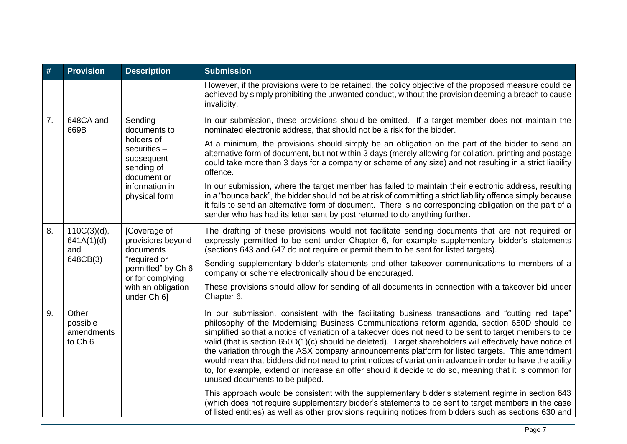| #                | <b>Provision</b>                                      | <b>Description</b>                                                                                                                            | <b>Submission</b>                                                                                                                                                                                                                                                                                                                                                                                                                                                                                                                                                                                                                                                                                                                                                                   |
|------------------|-------------------------------------------------------|-----------------------------------------------------------------------------------------------------------------------------------------------|-------------------------------------------------------------------------------------------------------------------------------------------------------------------------------------------------------------------------------------------------------------------------------------------------------------------------------------------------------------------------------------------------------------------------------------------------------------------------------------------------------------------------------------------------------------------------------------------------------------------------------------------------------------------------------------------------------------------------------------------------------------------------------------|
|                  |                                                       |                                                                                                                                               | However, if the provisions were to be retained, the policy objective of the proposed measure could be<br>achieved by simply prohibiting the unwanted conduct, without the provision deeming a breach to cause<br>invalidity.                                                                                                                                                                                                                                                                                                                                                                                                                                                                                                                                                        |
| $\overline{7}$ . | 648CA and<br>669B                                     | Sending<br>documents to<br>holders of<br>securities $-$<br>subsequent<br>sending of<br>document or<br>information in<br>physical form         | In our submission, these provisions should be omitted. If a target member does not maintain the<br>nominated electronic address, that should not be a risk for the bidder.                                                                                                                                                                                                                                                                                                                                                                                                                                                                                                                                                                                                          |
|                  |                                                       |                                                                                                                                               | At a minimum, the provisions should simply be an obligation on the part of the bidder to send an<br>alternative form of document, but not within 3 days (merely allowing for collation, printing and postage<br>could take more than 3 days for a company or scheme of any size) and not resulting in a strict liability<br>offence.                                                                                                                                                                                                                                                                                                                                                                                                                                                |
|                  |                                                       |                                                                                                                                               | In our submission, where the target member has failed to maintain their electronic address, resulting<br>in a "bounce back", the bidder should not be at risk of committing a strict liability offence simply because<br>it fails to send an alternative form of document. There is no corresponding obligation on the part of a<br>sender who has had its letter sent by post returned to do anything further.                                                                                                                                                                                                                                                                                                                                                                     |
| 8.               | 110C(3)(d),<br>641A(1)(d)<br>and<br>648CB(3)          | [Coverage of<br>provisions beyond<br>documents<br>"required or<br>permitted" by Ch 6<br>or for complying<br>with an obligation<br>under Ch 6] | The drafting of these provisions would not facilitate sending documents that are not required or<br>expressly permitted to be sent under Chapter 6, for example supplementary bidder's statements<br>(sections 643 and 647 do not require or permit them to be sent for listed targets).                                                                                                                                                                                                                                                                                                                                                                                                                                                                                            |
|                  |                                                       |                                                                                                                                               | Sending supplementary bidder's statements and other takeover communications to members of a<br>company or scheme electronically should be encouraged.                                                                                                                                                                                                                                                                                                                                                                                                                                                                                                                                                                                                                               |
|                  |                                                       |                                                                                                                                               | These provisions should allow for sending of all documents in connection with a takeover bid under<br>Chapter 6.                                                                                                                                                                                                                                                                                                                                                                                                                                                                                                                                                                                                                                                                    |
| 9.               | Other<br>possible<br>amendments<br>to Ch <sub>6</sub> |                                                                                                                                               | In our submission, consistent with the facilitating business transactions and "cutting red tape"<br>philosophy of the Modernising Business Communications reform agenda, section 650D should be<br>simplified so that a notice of variation of a takeover does not need to be sent to target members to be<br>valid (that is section 650D(1)(c) should be deleted). Target shareholders will effectively have notice of<br>the variation through the ASX company announcements platform for listed targets. This amendment<br>would mean that bidders did not need to print notices of variation in advance in order to have the ability<br>to, for example, extend or increase an offer should it decide to do so, meaning that it is common for<br>unused documents to be pulped. |
|                  |                                                       |                                                                                                                                               | This approach would be consistent with the supplementary bidder's statement regime in section 643<br>(which does not require supplementary bidder's statements to be sent to target members in the case<br>of listed entities) as well as other provisions requiring notices from bidders such as sections 630 and                                                                                                                                                                                                                                                                                                                                                                                                                                                                  |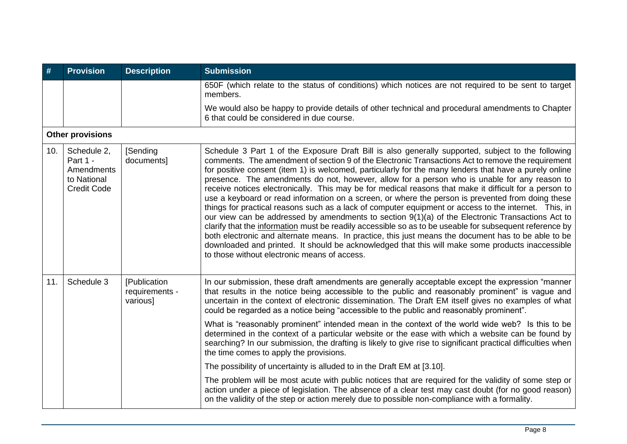| #   | <b>Provision</b>                                                           | <b>Description</b>                         | <b>Submission</b>                                                                                                                                                                                                                                                                                                                                                                                                                                                                                                                                                                                                                                                                                                                                                                                                                                                                                                                                                                                                                                                                                                                                                                                                   |
|-----|----------------------------------------------------------------------------|--------------------------------------------|---------------------------------------------------------------------------------------------------------------------------------------------------------------------------------------------------------------------------------------------------------------------------------------------------------------------------------------------------------------------------------------------------------------------------------------------------------------------------------------------------------------------------------------------------------------------------------------------------------------------------------------------------------------------------------------------------------------------------------------------------------------------------------------------------------------------------------------------------------------------------------------------------------------------------------------------------------------------------------------------------------------------------------------------------------------------------------------------------------------------------------------------------------------------------------------------------------------------|
|     |                                                                            |                                            | 650F (which relate to the status of conditions) which notices are not required to be sent to target<br>members.                                                                                                                                                                                                                                                                                                                                                                                                                                                                                                                                                                                                                                                                                                                                                                                                                                                                                                                                                                                                                                                                                                     |
|     |                                                                            |                                            | We would also be happy to provide details of other technical and procedural amendments to Chapter<br>6 that could be considered in due course.                                                                                                                                                                                                                                                                                                                                                                                                                                                                                                                                                                                                                                                                                                                                                                                                                                                                                                                                                                                                                                                                      |
|     | <b>Other provisions</b>                                                    |                                            |                                                                                                                                                                                                                                                                                                                                                                                                                                                                                                                                                                                                                                                                                                                                                                                                                                                                                                                                                                                                                                                                                                                                                                                                                     |
| 10. | Schedule 2,<br>Part 1 -<br>Amendments<br>to National<br><b>Credit Code</b> | [Sending]<br>documents]                    | Schedule 3 Part 1 of the Exposure Draft Bill is also generally supported, subject to the following<br>comments. The amendment of section 9 of the Electronic Transactions Act to remove the requirement<br>for positive consent (item 1) is welcomed, particularly for the many lenders that have a purely online<br>presence. The amendments do not, however, allow for a person who is unable for any reason to<br>receive notices electronically. This may be for medical reasons that make it difficult for a person to<br>use a keyboard or read information on a screen, or where the person is prevented from doing these<br>things for practical reasons such as a lack of computer equipment or access to the internet. This, in<br>our view can be addressed by amendments to section 9(1)(a) of the Electronic Transactions Act to<br>clarify that the information must be readily accessible so as to be useable for subsequent reference by<br>both electronic and alternate means. In practice, this just means the document has to be able to be<br>downloaded and printed. It should be acknowledged that this will make some products inaccessible<br>to those without electronic means of access. |
| 11. | Schedule 3                                                                 | [Publication<br>requirements -<br>various] | In our submission, these draft amendments are generally acceptable except the expression "manner<br>that results in the notice being accessible to the public and reasonably prominent" is vague and<br>uncertain in the context of electronic dissemination. The Draft EM itself gives no examples of what<br>could be regarded as a notice being "accessible to the public and reasonably prominent".                                                                                                                                                                                                                                                                                                                                                                                                                                                                                                                                                                                                                                                                                                                                                                                                             |
|     |                                                                            |                                            | What is "reasonably prominent" intended mean in the context of the world wide web? Is this to be<br>determined in the context of a particular website or the ease with which a website can be found by<br>searching? In our submission, the drafting is likely to give rise to significant practical difficulties when<br>the time comes to apply the provisions.                                                                                                                                                                                                                                                                                                                                                                                                                                                                                                                                                                                                                                                                                                                                                                                                                                                   |
|     |                                                                            |                                            | The possibility of uncertainty is alluded to in the Draft EM at [3.10].                                                                                                                                                                                                                                                                                                                                                                                                                                                                                                                                                                                                                                                                                                                                                                                                                                                                                                                                                                                                                                                                                                                                             |
|     |                                                                            |                                            | The problem will be most acute with public notices that are required for the validity of some step or<br>action under a piece of legislation. The absence of a clear test may cast doubt (for no good reason)<br>on the validity of the step or action merely due to possible non-compliance with a formality.                                                                                                                                                                                                                                                                                                                                                                                                                                                                                                                                                                                                                                                                                                                                                                                                                                                                                                      |